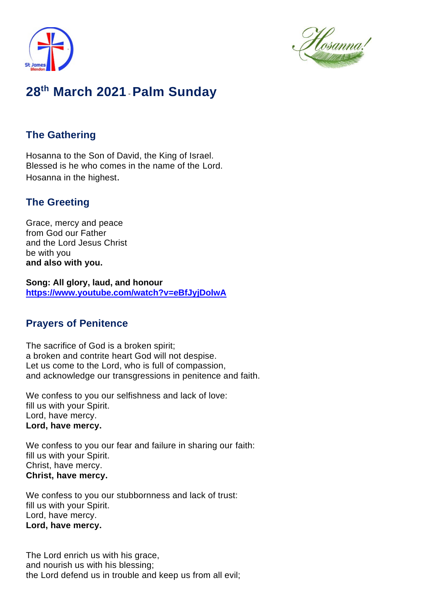



# **28 th March 2021** -**Palm Sunday**

# **The Gathering**

Hosanna to the Son of David, the King of Israel. Blessed is he who comes in the name of the Lord. Hosanna in the highest.

# **The Greeting**

Grace, mercy and peace from God our Father and the Lord Jesus Christ be with you **and also with you.**

**Song: All glory, laud, and honour https://www.youtube.com/watch?v=eBfJyjDolwA**

# **Prayers of Penitence**

The sacrifice of God is a broken spirit; a broken and contrite heart God will not despise. Let us come to the Lord, who is full of compassion, and acknowledge our transgressions in penitence and faith.

We confess to you our selfishness and lack of love: fill us with your Spirit. Lord, have mercy. **Lord, have mercy.**

We confess to you our fear and failure in sharing our faith: fill us with your Spirit. Christ, have mercy. **Christ, have mercy.**

We confess to you our stubbornness and lack of trust: fill us with your Spirit. Lord, have mercy. **Lord, have mercy.**

The Lord enrich us with his grace, and nourish us with his blessing; the Lord defend us in trouble and keep us from all evil;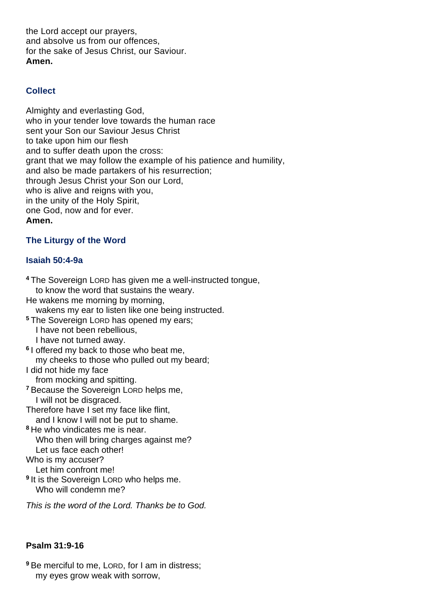the Lord accept our prayers, and absolve us from our offences, for the sake of Jesus Christ, our Saviour. **Amen.**

## **Collect**

Almighty and everlasting God, who in your tender love towards the human race sent your Son our Saviour Jesus Christ to take upon him our flesh and to suffer death upon the cross: grant that we may follow the example of his patience and humility, and also be made partakers of his resurrection; through Jesus Christ your Son our Lord, who is alive and reigns with you, in the unity of the Holy Spirit, one God, now and for ever. **Amen.**

## **The Liturgy of the Word**

### **Isaiah 50:4-9a**

**<sup>4</sup>** The Sovereign LORD has given me a well-instructed tongue, to know the word that sustains the weary. He wakens me morning by morning, wakens my ear to listen like one being instructed. **<sup>5</sup>** The Sovereign LORD has opened my ears; I have not been rebellious, I have not turned away. **6** I offered my back to those who beat me, my cheeks to those who pulled out my beard; I did not hide my face from mocking and spitting. **<sup>7</sup>** Because the Sovereign LORD helps me, I will not be disgraced. Therefore have I set my face like flint, and I know I will not be put to shame. **<sup>8</sup>** He who vindicates me is near. Who then will bring charges against me? Let us face each other! Who is my accuser? Let him confront me! **9** It is the Sovereign LORD who helps me. Who will condemn me?

*This is the word of the Lord. Thanks be to God.*

## **Psalm 31:9-16**

**<sup>9</sup>** Be merciful to me, LORD, for I am in distress; my eyes grow weak with sorrow,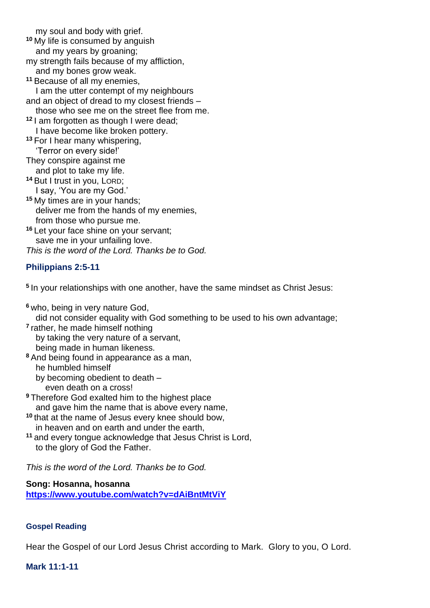my soul and body with grief.

- **<sup>10</sup>** My life is consumed by anguish
	- and my years by groaning;
- my strength fails because of my affliction, and my bones grow weak.
- **<sup>11</sup>** Because of all my enemies,

 I am the utter contempt of my neighbours and an object of dread to my closest friends –

those who see me on the street flee from me.

**<sup>12</sup>** I am forgotten as though I were dead; I have become like broken pottery.

**<sup>13</sup>** For I hear many whispering, 'Terror on every side!'

- They conspire against me
- and plot to take my life. **<sup>14</sup>** But I trust in you, LORD;

I say, 'You are my God.'

**<sup>15</sup>** My times are in your hands; deliver me from the hands of my enemies, from those who pursue me.

**<sup>16</sup>** Let your face shine on your servant; save me in your unfailing love. *This is the word of the Lord. Thanks be to God.*

# **Philippians 2:5-11**

**5** In your relationships with one another, have the same mindset as Christ Jesus:

**<sup>6</sup>** who, being in very nature God,

did not consider equality with God something to be used to his own advantage;

- **7** rather, he made himself nothing by taking the very nature of a servant, being made in human likeness.
- **<sup>8</sup>** And being found in appearance as a man, he humbled himself
	- by becoming obedient to death –
- even death on a cross! **<sup>9</sup>** Therefore God exalted him to the highest place
- and gave him the name that is above every name,
- **<sup>10</sup>** that at the name of Jesus every knee should bow, in heaven and on earth and under the earth,
- **<sup>11</sup>** and every tongue acknowledge that Jesus Christ is Lord, to the glory of God the Father.

*This is the word of the Lord. Thanks be to God.* 

## **Song: Hosanna, hosanna**

**https://www.youtube.com/watch?v=dAiBntMtViY**

## **Gospel Reading**

Hear the Gospel of our Lord Jesus Christ according to Mark. Glory to you, O Lord.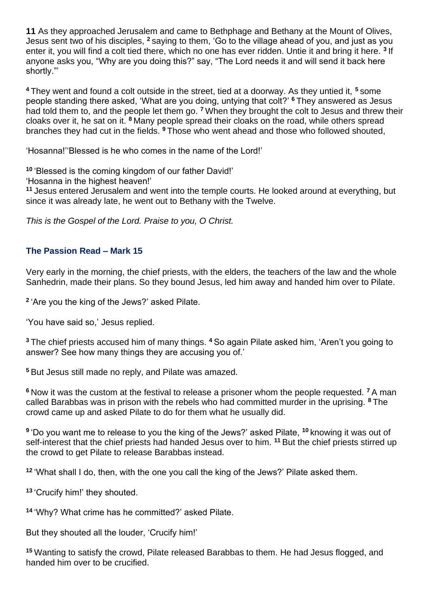**11** As they approached Jerusalem and came to Bethphage and Bethany at the Mount of Olives, Jesus sent two of his disciples, **<sup>2</sup>** saying to them, 'Go to the village ahead of you, and just as you enter it, you will find a colt tied there, which no one has ever ridden. Untie it and bring it here. **<sup>3</sup>** If anyone asks you, "Why are you doing this?" say, "The Lord needs it and will send it back here shortly."'

**<sup>4</sup>** They went and found a colt outside in the street, tied at a doorway. As they untied it, **<sup>5</sup>** some people standing there asked, 'What are you doing, untying that colt?' **<sup>6</sup>** They answered as Jesus had told them to, and the people let them go. **<sup>7</sup>** When they brought the colt to Jesus and threw their cloaks over it, he sat on it. **<sup>8</sup>** Many people spread their cloaks on the road, while others spread branches they had cut in the fields. **<sup>9</sup>** Those who went ahead and those who followed shouted,

'Hosanna!''Blessed is he who comes in the name of the Lord!'

**<sup>10</sup>** 'Blessed is the coming kingdom of our father David!'

'Hosanna in the highest heaven!'

**<sup>11</sup>** Jesus entered Jerusalem and went into the temple courts. He looked around at everything, but since it was already late, he went out to Bethany with the Twelve.

*This is the Gospel of the Lord. Praise to you, O Christ.*

### **The Passion Read – Mark 15**

Very early in the morning, the chief priests, with the elders, the teachers of the law and the whole Sanhedrin, made their plans. So they bound Jesus, led him away and handed him over to Pilate.

**2** 'Are you the king of the Jews?' asked Pilate.

'You have said so,' Jesus replied.

**<sup>3</sup>** The chief priests accused him of many things. **<sup>4</sup>** So again Pilate asked him, 'Aren't you going to answer? See how many things they are accusing you of.'

**<sup>5</sup>** But Jesus still made no reply, and Pilate was amazed.

**<sup>6</sup>** Now it was the custom at the festival to release a prisoner whom the people requested. **<sup>7</sup>** A man called Barabbas was in prison with the rebels who had committed murder in the uprising. **<sup>8</sup>** The crowd came up and asked Pilate to do for them what he usually did.

**9** 'Do you want me to release to you the king of the Jews?' asked Pilate, **<sup>10</sup>** knowing it was out of self-interest that the chief priests had handed Jesus over to him. **<sup>11</sup>** But the chief priests stirred up the crowd to get Pilate to release Barabbas instead.

**<sup>12</sup>** 'What shall I do, then, with the one you call the king of the Jews?' Pilate asked them.

**<sup>13</sup>** 'Crucify him!' they shouted.

**<sup>14</sup>** 'Why? What crime has he committed?' asked Pilate.

But they shouted all the louder, 'Crucify him!'

**<sup>15</sup>** Wanting to satisfy the crowd, Pilate released Barabbas to them. He had Jesus flogged, and handed him over to be crucified.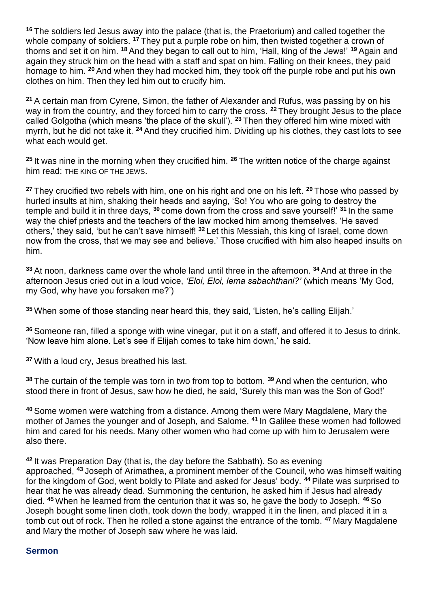**<sup>16</sup>** The soldiers led Jesus away into the palace (that is, the Praetorium) and called together the whole company of soldiers. **<sup>17</sup>** They put a purple robe on him, then twisted together a crown of thorns and set it on him. **<sup>18</sup>** And they began to call out to him, 'Hail, king of the Jews!' **<sup>19</sup>** Again and again they struck him on the head with a staff and spat on him. Falling on their knees, they paid homage to him. **<sup>20</sup>** And when they had mocked him, they took off the purple robe and put his own clothes on him. Then they led him out to crucify him.

**<sup>21</sup>** A certain man from Cyrene, Simon, the father of Alexander and Rufus, was passing by on his way in from the country, and they forced him to carry the cross. **<sup>22</sup>** They brought Jesus to the place called Golgotha (which means 'the place of the skull'). **<sup>23</sup>** Then they offered him wine mixed with myrrh, but he did not take it. **<sup>24</sup>** And they crucified him. Dividing up his clothes, they cast lots to see what each would get.

**<sup>25</sup>** It was nine in the morning when they crucified him. **<sup>26</sup>** The written notice of the charge against him read: THE KING OF THE JEWS.

**<sup>27</sup>** They crucified two rebels with him, one on his right and one on his left. **<sup>29</sup>** Those who passed by hurled insults at him, shaking their heads and saying, 'So! You who are going to destroy the temple and build it in three days, **<sup>30</sup>** come down from the cross and save yourself!' **<sup>31</sup>** In the same way the chief priests and the teachers of the law mocked him among themselves. 'He saved others,' they said, 'but he can't save himself! **<sup>32</sup>** Let this Messiah, this king of Israel, come down now from the cross, that we may see and believe.' Those crucified with him also heaped insults on him.

**<sup>33</sup>** At noon, darkness came over the whole land until three in the afternoon. **<sup>34</sup>** And at three in the afternoon Jesus cried out in a loud voice, *'Eloi, Eloi, lema sabachthani?'* (which means 'My God, my God, why have you forsaken me?')

**<sup>35</sup>** When some of those standing near heard this, they said, 'Listen, he's calling Elijah.'

**<sup>36</sup>** Someone ran, filled a sponge with wine vinegar, put it on a staff, and offered it to Jesus to drink. 'Now leave him alone. Let's see if Elijah comes to take him down,' he said.

**<sup>37</sup>** With a loud cry, Jesus breathed his last.

**<sup>38</sup>** The curtain of the temple was torn in two from top to bottom. **<sup>39</sup>** And when the centurion, who stood there in front of Jesus, saw how he died, he said, 'Surely this man was the Son of God!'

**<sup>40</sup>** Some women were watching from a distance. Among them were Mary Magdalene, Mary the mother of James the younger and of Joseph, and Salome. **<sup>41</sup>** In Galilee these women had followed him and cared for his needs. Many other women who had come up with him to Jerusalem were also there.

**<sup>42</sup>** It was Preparation Day (that is, the day before the Sabbath). So as evening approached, **<sup>43</sup>** Joseph of Arimathea, a prominent member of the Council, who was himself waiting for the kingdom of God, went boldly to Pilate and asked for Jesus' body. **<sup>44</sup>** Pilate was surprised to hear that he was already dead. Summoning the centurion, he asked him if Jesus had already died. **<sup>45</sup>** When he learned from the centurion that it was so, he gave the body to Joseph. **<sup>46</sup>** So Joseph bought some linen cloth, took down the body, wrapped it in the linen, and placed it in a tomb cut out of rock. Then he rolled a stone against the entrance of the tomb. **<sup>47</sup>** Mary Magdalene and Mary the mother of Joseph saw where he was laid.

#### **Sermon**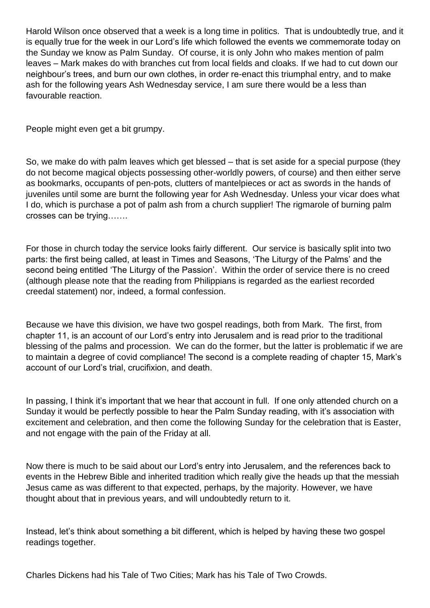Harold Wilson once observed that a week is a long time in politics. That is undoubtedly true, and it is equally true for the week in our Lord's life which followed the events we commemorate today on the Sunday we know as Palm Sunday. Of course, it is only John who makes mention of palm leaves – Mark makes do with branches cut from local fields and cloaks. If we had to cut down our neighbour's trees, and burn our own clothes, in order re-enact this triumphal entry, and to make ash for the following years Ash Wednesday service, I am sure there would be a less than favourable reaction.

People might even get a bit grumpy.

So, we make do with palm leaves which get blessed – that is set aside for a special purpose (they do not become magical objects possessing other-worldly powers, of course) and then either serve as bookmarks, occupants of pen-pots, clutters of mantelpieces or act as swords in the hands of juveniles until some are burnt the following year for Ash Wednesday. Unless your vicar does what I do, which is purchase a pot of palm ash from a church supplier! The rigmarole of burning palm crosses can be trying…….

For those in church today the service looks fairly different. Our service is basically split into two parts: the first being called, at least in Times and Seasons, 'The Liturgy of the Palms' and the second being entitled 'The Liturgy of the Passion'. Within the order of service there is no creed (although please note that the reading from Philippians is regarded as the earliest recorded creedal statement) nor, indeed, a formal confession.

Because we have this division, we have two gospel readings, both from Mark. The first, from chapter 11, is an account of our Lord's entry into Jerusalem and is read prior to the traditional blessing of the palms and procession. We can do the former, but the latter is problematic if we are to maintain a degree of covid compliance! The second is a complete reading of chapter 15, Mark's account of our Lord's trial, crucifixion, and death.

In passing, I think it's important that we hear that account in full. If one only attended church on a Sunday it would be perfectly possible to hear the Palm Sunday reading, with it's association with excitement and celebration, and then come the following Sunday for the celebration that is Easter, and not engage with the pain of the Friday at all.

Now there is much to be said about our Lord's entry into Jerusalem, and the references back to events in the Hebrew Bible and inherited tradition which really give the heads up that the messiah Jesus came as was different to that expected, perhaps, by the majority. However, we have thought about that in previous years, and will undoubtedly return to it.

Instead, let's think about something a bit different, which is helped by having these two gospel readings together.

Charles Dickens had his Tale of Two Cities; Mark has his Tale of Two Crowds.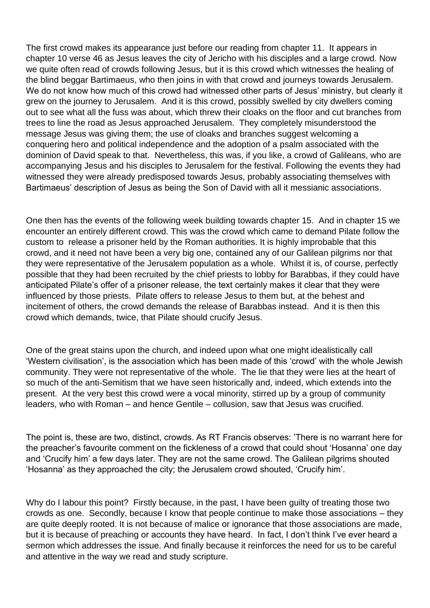The first crowd makes its appearance just before our reading from chapter 11. It appears in chapter 10 verse 46 as Jesus leaves the city of Jericho with his disciples and a large crowd. Now we quite often read of crowds following Jesus, but it is this crowd which witnesses the healing of the blind beggar Bartimaeus, who then joins in with that crowd and journeys towards Jerusalem. We do not know how much of this crowd had witnessed other parts of Jesus' ministry, but clearly it grew on the journey to Jerusalem. And it is this crowd, possibly swelled by city dwellers coming out to see what all the fuss was about, which threw their cloaks on the floor and cut branches from trees to line the road as Jesus approached Jerusalem. They completely misunderstood the message Jesus was giving them; the use of cloaks and branches suggest welcoming a conquering hero and political independence and the adoption of a psalm associated with the dominion of David speak to that. Nevertheless, this was, if you like, a crowd of Galileans, who are accompanying Jesus and his disciples to Jerusalem for the festival. Following the events they had witnessed they were already predisposed towards Jesus, probably associating themselves with Bartimaeus' description of Jesus as being the Son of David with all it messianic associations.

One then has the events of the following week building towards chapter 15. And in chapter 15 we encounter an entirely different crowd. This was the crowd which came to demand Pilate follow the custom to release a prisoner held by the Roman authorities. It is highly improbable that this crowd, and it need not have been a very big one, contained any of our Galilean pilgrims nor that they were representative of the Jerusalem population as a whole. Whilst it is, of course, perfectly possible that they had been recruited by the chief priests to lobby for Barabbas, if they could have anticipated Pilate's offer of a prisoner release, the text certainly makes it clear that they were influenced by those priests. Pilate offers to release Jesus to them but, at the behest and incitement of others, the crowd demands the release of Barabbas instead. And it is then this crowd which demands, twice, that Pilate should crucify Jesus.

One of the great stains upon the church, and indeed upon what one might idealistically call 'Western civilisation', is the association which has been made of this 'crowd' with the whole Jewish community. They were not representative of the whole. The lie that they were lies at the heart of so much of the anti-Semitism that we have seen historically and, indeed, which extends into the present. At the very best this crowd were a vocal minority, stirred up by a group of community leaders, who with Roman – and hence Gentile – collusion, saw that Jesus was crucified.

The point is, these are two, distinct, crowds. As RT Francis observes: 'There is no warrant here for the preacher's favourite comment on the fickleness of a crowd that could shout 'Hosanna' one day and 'Crucify him' a few days later. They are not the same crowd. The Galilean pilgrims shouted 'Hosanna' as they approached the city; the Jerusalem crowd shouted, 'Crucify him'.

Why do I labour this point? Firstly because, in the past, I have been quilty of treating those two crowds as one. Secondly, because I know that people continue to make those associations – they are quite deeply rooted. It is not because of malice or ignorance that those associations are made, but it is because of preaching or accounts they have heard. In fact, I don't think I've ever heard a sermon which addresses the issue. And finally because it reinforces the need for us to be careful and attentive in the way we read and study scripture.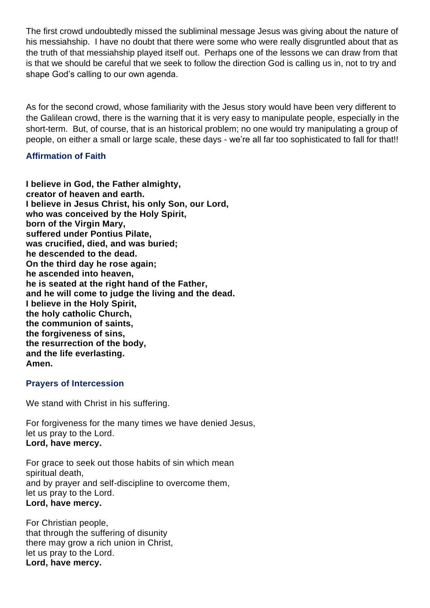The first crowd undoubtedly missed the subliminal message Jesus was giving about the nature of his messiahship. I have no doubt that there were some who were really disgruntled about that as the truth of that messiahship played itself out. Perhaps one of the lessons we can draw from that is that we should be careful that we seek to follow the direction God is calling us in, not to try and shape God's calling to our own agenda.

As for the second crowd, whose familiarity with the Jesus story would have been very different to the Galilean crowd, there is the warning that it is very easy to manipulate people, especially in the short-term. But, of course, that is an historical problem; no one would try manipulating a group of people, on either a small or large scale, these days - we're all far too sophisticated to fall for that!!

#### **Affirmation of Faith**

**I believe in God, the Father almighty, creator of heaven and earth. I believe in Jesus Christ, his only Son, our Lord, who was conceived by the Holy Spirit, born of the Virgin Mary, suffered under Pontius Pilate, was crucified, died, and was buried; he descended to the dead. On the third day he rose again; he ascended into heaven, he is seated at the right hand of the Father, and he will come to judge the living and the dead. I believe in the Holy Spirit, the holy catholic Church, the communion of saints, the forgiveness of sins, the resurrection of the body, and the life everlasting. Amen.**

#### **Prayers of Intercession**

We stand with Christ in his suffering.

For forgiveness for the many times we have denied Jesus, let us pray to the Lord. **Lord, have mercy.**

For grace to seek out those habits of sin which mean spiritual death, and by prayer and self-discipline to overcome them, let us pray to the Lord. **Lord, have mercy.**

For Christian people, that through the suffering of disunity there may grow a rich union in Christ, let us pray to the Lord. **Lord, have mercy.**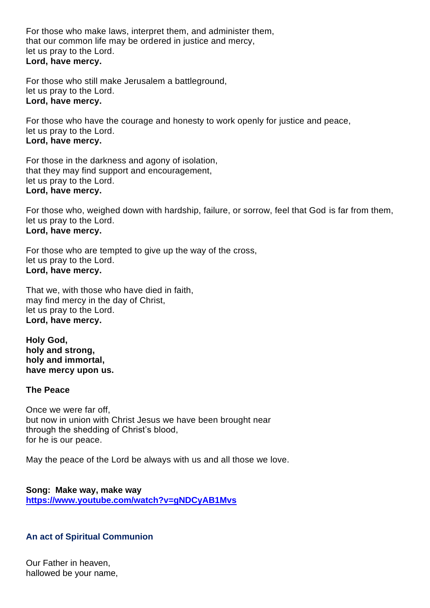For those who make laws, interpret them, and administer them, that our common life may be ordered in justice and mercy, let us pray to the Lord. **Lord, have mercy.**

For those who still make Jerusalem a battleground, let us pray to the Lord. **Lord, have mercy.**

For those who have the courage and honesty to work openly for justice and peace, let us pray to the Lord. **Lord, have mercy.**

For those in the darkness and agony of isolation, that they may find support and encouragement, let us pray to the Lord. **Lord, have mercy.**

For those who, weighed down with hardship, failure, or sorrow, feel that God is far from them, let us pray to the Lord. **Lord, have mercy.**

For those who are tempted to give up the way of the cross, let us pray to the Lord. **Lord, have mercy.**

That we, with those who have died in faith, may find mercy in the day of Christ, let us pray to the Lord. **Lord, have mercy.**

**Holy God, holy and strong, holy and immortal, have mercy upon us.**

#### **The Peace**

Once we were far off, but now in union with Christ Jesus we have been brought near through the shedding of Christ's blood, for he is our peace.

May the peace of the Lord be always with us and all those we love.

**Song: Make way, make way https://www.youtube.com/watch?v=gNDCyAB1Mvs**

## **An act of Spiritual Communion**

Our Father in heaven, hallowed be your name,